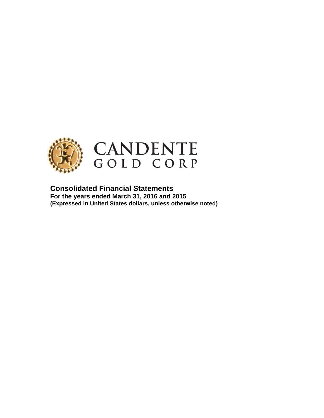

**Consolidated Financial Statements For the years ended March 31, 2016 and 2015 (Expressed in United States dollars, unless otherwise noted)**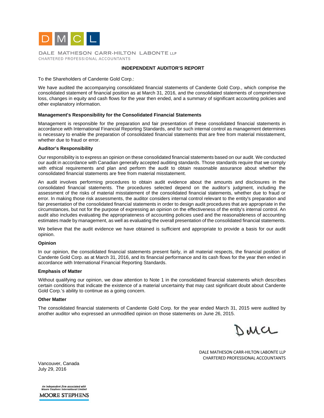

DALE MATHESON CARR-HILTON LABONTE LLP CHARTERED PROFESSIONAL ACCOUNTANTS

#### **INDEPENDENT AUDITOR'S REPORT**

To the Shareholders of Candente Gold Corp.:

We have audited the accompanying consolidated financial statements of Candente Gold Corp., which comprise the consolidated statement of financial position as at March 31, 2016, and the consolidated statements of comprehensive loss, changes in equity and cash flows for the year then ended, and a summary of significant accounting policies and other explanatory information.

#### **Management's Responsibility for the Consolidated Financial Statements**

Management is responsible for the preparation and fair presentation of these consolidated financial statements in accordance with International Financial Reporting Standards, and for such internal control as management determines is necessary to enable the preparation of consolidated financial statements that are free from material misstatement, whether due to fraud or error.

#### **Auditor's Responsibility**

Our responsibility is to express an opinion on these consolidated financial statements based on our audit. We conducted our audit in accordance with Canadian generally accepted auditing standards. Those standards require that we comply with ethical requirements and plan and perform the audit to obtain reasonable assurance about whether the consolidated financial statements are free from material misstatement.

An audit involves performing procedures to obtain audit evidence about the amounts and disclosures in the consolidated financial statements. The procedures selected depend on the auditor's judgment, including the assessment of the risks of material misstatement of the consolidated financial statements, whether due to fraud or error. In making those risk assessments, the auditor considers internal control relevant to the entity's preparation and fair presentation of the consolidated financial statements in order to design audit procedures that are appropriate in the circumstances, but not for the purpose of expressing an opinion on the effectiveness of the entity's internal control. An audit also includes evaluating the appropriateness of accounting policies used and the reasonableness of accounting estimates made by management, as well as evaluating the overall presentation of the consolidated financial statements.

We believe that the audit evidence we have obtained is sufficient and appropriate to provide a basis for our audit opinion.

#### **Opinion**

In our opinion, the consolidated financial statements present fairly, in all material respects, the financial position of Candente Gold Corp. as at March 31, 2016, and its financial performance and its cash flows for the year then ended in accordance with International Financial Reporting Standards.

#### **Emphasis of Matter**

Without qualifying our opinion, we draw attention to Note 1 in the consolidated financial statements which describes certain conditions that indicate the existence of a material uncertainty that may cast significant doubt about Candente Gold Corp.'s ability to continue as a going concern.

#### **Other Matter**

The consolidated financial statements of Candente Gold Corp. for the year ended March 31, 2015 were audited by another auditor who expressed an unmodified opinion on those statements on June 26, 2015.

MCL

DALE MATHESON CARR-HILTON LABONTE LLP CHARTERED PROFESSIONAL ACCOUNTANTS

Vancouver, Canada July 29, 2016

An independent firm associated with<br>Moore Stephens International Limited

**MOORE STEPHENS**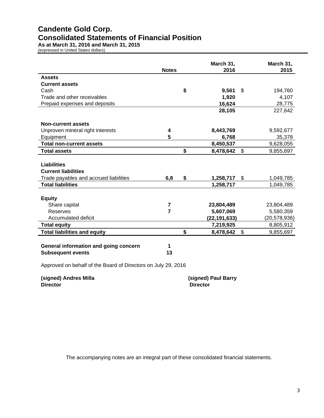# **Candente Gold Corp. Consolidated Statements of Financial Position**

**As at March 31, 2016 and March 31, 2015**  (expressed in United States dollars)

|                                                               | <b>Notes</b>   | March 31,<br>2016 |                           | March 31,<br>2015 |
|---------------------------------------------------------------|----------------|-------------------|---------------------------|-------------------|
| <b>Assets</b>                                                 |                |                   |                           |                   |
| <b>Current assets</b>                                         |                |                   |                           |                   |
| Cash                                                          |                | \$<br>9,561       | \$                        | 194,760           |
| Trade and other receivables                                   |                | 1,920             |                           | 4,107             |
| Prepaid expenses and deposits                                 |                | 16,624            |                           | 28,775            |
|                                                               |                | 28,105            |                           | 227,642           |
| <b>Non-current assets</b>                                     |                |                   |                           |                   |
| Unproven mineral right interests                              | 4              | 8,443,769         |                           | 9,592,677         |
| Equipment                                                     | 5              | 6,768             |                           | 35,378            |
| <b>Total non-current assets</b>                               |                | 8,450,537         |                           | 9,628,055         |
| <b>Total assets</b>                                           |                | \$<br>8,478,642   | \$                        | 9,855,697         |
| <b>Liabilities</b><br><b>Current liabilities</b>              |                |                   |                           |                   |
| Trade payables and accrued liabilities                        | 6,8            | \$<br>1,258,717   | \$                        | 1,049,785         |
| <b>Total liabilities</b>                                      |                | 1,258,717         |                           | 1,049,785         |
| <b>Equity</b>                                                 |                |                   |                           |                   |
| Share capital                                                 | 7              | 23,804,489        |                           | 23,804,489        |
| <b>Reserves</b>                                               | $\overline{7}$ | 5,607,069         |                           | 5,580,359         |
| Accumulated deficit                                           |                | (22, 191, 633)    |                           | (20, 578, 936)    |
| <b>Total equity</b>                                           |                | 7,219,925         |                           | 8,805,912         |
| <b>Total liabilities and equity</b>                           |                | \$<br>8,478,642   | $\boldsymbol{\mathsf{S}}$ | 9,855,697         |
| General information and going concern                         | 1              |                   |                           |                   |
| <b>Subsequent events</b>                                      | 13             |                   |                           |                   |
|                                                               |                |                   |                           |                   |
| Approved on behalf of the Board of Directors on July 29, 2016 |                |                   |                           |                   |

**(signed) Andres Milla (signed) Paul Barry Director Director**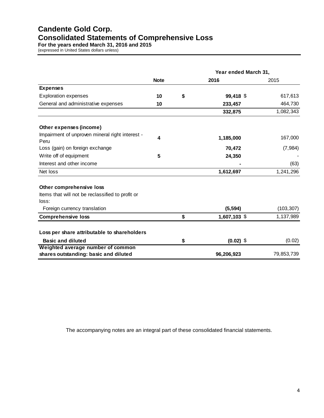# **Candente Gold Corp. Consolidated Statements of Comprehensive Loss**

**For the years ended March 31, 2016 and 2015** 

(expressed in United States dollars unless)

|                                                                            |             | Year ended March 31, |            |
|----------------------------------------------------------------------------|-------------|----------------------|------------|
|                                                                            | <b>Note</b> | 2016                 | 2015       |
| <b>Expenses</b>                                                            |             |                      |            |
| <b>Exploration expenses</b>                                                | 10          | \$<br>99,418 \$      | 617,613    |
| General and administrative expenses                                        | 10          | 233,457              | 464,730    |
|                                                                            |             | 332,875              | 1,082,343  |
| Other expenses (income)                                                    |             |                      |            |
| Impairment of unproven mineral right interest -<br>Peru                    | 4           | 1,185,000            | 167,000    |
| Loss (gain) on foreign exchange                                            |             | 70,472               | (7, 984)   |
| Write off of equipment                                                     | 5           | 24,350               |            |
| Interest and other income                                                  |             |                      | (63)       |
| Net loss                                                                   |             | 1,612,697            | 1,241,296  |
| Other comprehensive loss                                                   |             |                      |            |
| Items that will not be reclassified to profit or                           |             |                      |            |
| loss:                                                                      |             |                      |            |
| Foreign currency translation                                               |             | (5, 594)             | (103, 307) |
| <b>Comprehensive loss</b>                                                  |             | \$<br>1,607,103 \$   | 1,137,989  |
| Loss per share attributable to shareholders                                |             |                      |            |
| <b>Basic and diluted</b>                                                   |             | \$<br>$(0.02)$ \$    | (0.02)     |
| Weighted average number of common<br>shares outstanding: basic and diluted |             | 96,206,923           | 79,853,739 |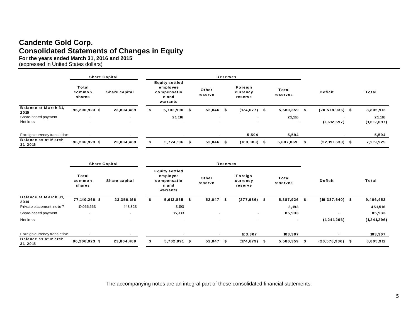# **Candente Gold Corp. Consolidated Statements of Changes in Equity**

**For the years ended March 31, 2016 and 2015** 

(expressed in United States dollars)

|                                        |                           | <b>Share Capital</b>     |                                                                       |                          | <b>Reserves</b>                |      |                          |      |                          |             |
|----------------------------------------|---------------------------|--------------------------|-----------------------------------------------------------------------|--------------------------|--------------------------------|------|--------------------------|------|--------------------------|-------------|
|                                        | Total<br>common<br>shares | Share capital            | <b>Equity settled</b><br>employee<br>compensatio<br>n and<br>warrants | Other<br>reserve         | Foreign<br>currency<br>reserve |      | Total<br>reserves        |      | <b>Deficit</b>           | Total       |
| <b>Balance at March 31.</b><br>2015    | 96,206,923 \$             | 23,804,489               | \$<br>$5,702,990$ \$                                                  | $52,046$ \$              | (174, 677)                     | - \$ | 5,580,359                | - \$ | $(20, 578, 936)$ \$      | 8,805,912   |
| Share-based payment                    |                           | . .                      | 21,116                                                                | $\overline{\phantom{a}}$ | $\overline{\phantom{a}}$       |      | 21,116                   |      |                          | 21,116      |
| Net loss                               | $\sim$                    | $\overline{\phantom{a}}$ |                                                                       | $\overline{\phantom{a}}$ | $\sim$                         |      | $\overline{\phantom{0}}$ |      | (1,612,697)              | (1,612,697) |
| Foreign currency translation           |                           |                          | $\overline{\phantom{a}}$                                              | $\overline{\phantom{a}}$ | 5,594                          |      | 5,594                    |      | $\overline{\phantom{a}}$ | 5,594       |
| <b>Balance as at March</b><br>31, 2016 | 96,206,923 \$             | 23,804,489               | \$<br>$5,724,106$ \$                                                  | $52,046$ \$              | $(169, 083)$ \$                |      | 5,607,069                | - 56 | $(22, 191, 633)$ \$      | 7,219,925   |

|                                        |                           | <b>Share Capital</b>     |                                                                       |                  | <b>Reserves</b>                |                   |                          |      |               |
|----------------------------------------|---------------------------|--------------------------|-----------------------------------------------------------------------|------------------|--------------------------------|-------------------|--------------------------|------|---------------|
|                                        | Total<br>common<br>shares | Share capital            | <b>Equity settled</b><br>employee<br>compensatio<br>n and<br>warrants | Other<br>reserve | Foreign<br>currency<br>reserve | Total<br>reserves | <b>Deficit</b>           |      | Total         |
| Balance at March 31,<br>2014           | 77,140,260 \$             | 23,356,166               | \$<br>$5,613,865$ \$                                                  | $52,047$ \$      | $(277,986)$ \$                 | 5,387,926 \$      | $(19, 337, 640)$ \$      |      | 9,406,452     |
| Private placement, note 7              | 19,066,663                | 448,323                  | 3,193                                                                 |                  |                                | 3,193             |                          |      | 451,516       |
| Share-based payment                    | ٠                         | $\overline{\phantom{a}}$ | 85,933                                                                | $\sim$           | ٠                              | 85,933            | $\overline{\phantom{a}}$ |      | 85,933        |
| Net loss                               | ٠                         | $\overline{\phantom{a}}$ | $\overline{\phantom{a}}$                                              | $\sim$           | ٠                              | $\blacksquare$    | (1,241,296)              |      | (1, 241, 296) |
| Foreign currency translation           | $\overline{\phantom{a}}$  |                          |                                                                       | $\sim$           | 103,307                        | 103,307           |                          |      | 103,307       |
| <b>Balance as at March</b><br>31, 2015 | 96,206,923 \$             | 23,804,489               | \$<br>$5,702,991$ \$                                                  | $52,047$ \$      | $(174, 679)$ \$                | $5,580,359$ \$    | (20, 578, 936)           | - \$ | 8,805,912     |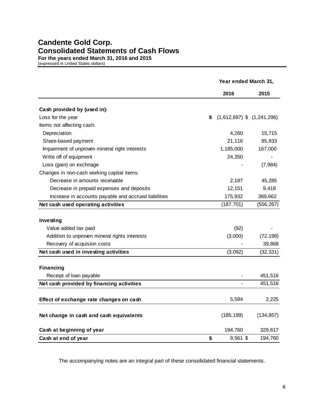# **Candente Gold Corp. Consolidated Statements of Cash Flows For the years ended March 31, 2016 and 2015**

(expressed in United States dollars)

|                                                      | Year ended March 31, |                                |            |  |  |
|------------------------------------------------------|----------------------|--------------------------------|------------|--|--|
|                                                      |                      | 2016                           | 2015       |  |  |
| Cash provided by (used in):                          |                      |                                |            |  |  |
| Loss for the year                                    | S                    | $(1,612,697)$ \$ $(1,241,296)$ |            |  |  |
| Items not affecting cash:                            |                      |                                |            |  |  |
| Depreciation                                         |                      | 4,260                          | 15,715     |  |  |
| Share-based payment                                  |                      | 21,116                         | 85,933     |  |  |
| Impairment of unproven mineral right interests       |                      | 1,185,000                      | 167,000    |  |  |
| Write off of equipment                               |                      | 24,350                         |            |  |  |
| Loss (gain) on exchnage                              |                      |                                | (7, 984)   |  |  |
| Changes in non-cash working capital items:           |                      |                                |            |  |  |
| Decrease in amounts receivable                       |                      | 2,187                          | 45,285     |  |  |
| Decrease in prepaid expenses and deposits            |                      | 12,151                         | 9,418      |  |  |
| Increase in accounts payable and accrued liabilities |                      | 175,932                        | 369,662    |  |  |
| Net cash used operating activities                   |                      | (187, 701)                     | (556, 267) |  |  |
|                                                      |                      |                                |            |  |  |
| Investing                                            |                      |                                |            |  |  |
| Value added tax paid                                 |                      | (92)                           |            |  |  |
| Addition to unproven mineral rights interests        |                      | (3,000)                        | (72, 199)  |  |  |
| Recovery of acquision costs                          |                      |                                | 39,868     |  |  |
| Net cash used in investing activities                |                      | (3,092)                        | (32, 331)  |  |  |
|                                                      |                      |                                |            |  |  |
| <b>Financing</b>                                     |                      |                                |            |  |  |
| Receipt of loan payable                              |                      |                                | 451,516    |  |  |
| Net cash provided by financing activities            |                      | $\overline{a}$                 | 451,516    |  |  |
|                                                      |                      | 5,594                          | 2,225      |  |  |
| Effect of exchange rate changes on cash              |                      |                                |            |  |  |
| Net change in cash and cash equivalents              |                      | (185, 199)                     | (134, 857) |  |  |
| Cash at beginning of year                            |                      | 194,760                        | 329,617    |  |  |
| Cash at end of year                                  | \$                   | $9,561$ \$                     | 194,760    |  |  |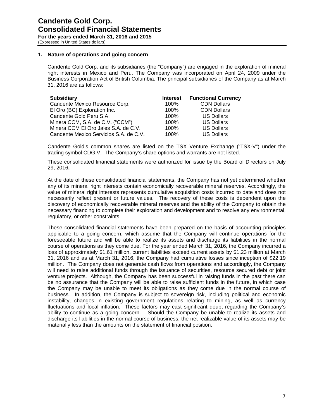#### **1. Nature of operations and going concern**

Candente Gold Corp. and its subsidiaries (the "Company") are engaged in the exploration of mineral right interests in Mexico and Peru. The Company was incorporated on April 24, 2009 under the Business Corporation Act of British Columbia. The principal subsidiaries of the Company as at March 31, 2016 are as follows:

| <b>Subsidiary</b>                      | <b>Interest</b> | <b>Functional Currency</b> |
|----------------------------------------|-----------------|----------------------------|
| Candente Mexico Resource Corp.         | 100%            | <b>CDN Dollars</b>         |
| El Oro (BC) Exploration Inc.           | 100%            | <b>CDN Dollars</b>         |
| Candente Gold Peru S.A.                | 100%            | <b>US Dollars</b>          |
| Minera CCM, S.A. de C.V. ("CCM")       | 100%            | <b>US Dollars</b>          |
| Minera CCM El Oro Jales S.A. de C.V.   | 100%            | <b>US Dollars</b>          |
| Candente Mexico Servicios S.A. de C.V. | 100%            | <b>US Dollars</b>          |

Candente Gold's common shares are listed on the TSX Venture Exchange ("TSX-V") under the trading symbol CDG.V. The Company's share options and warrants are not listed.

These consolidated financial statements were authorized for issue by the Board of Directors on July 29, 2016**.** 

At the date of these consolidated financial statements, the Company has not yet determined whether any of its mineral right interests contain economically recoverable mineral reserves. Accordingly, the value of mineral right interests represents cumulative acquisition costs incurred to date and does not necessarily reflect present or future values. The recovery of these costs is dependent upon the discovery of economically recoverable mineral reserves and the ability of the Company to obtain the necessary financing to complete their exploration and development and to resolve any environmental, regulatory, or other constraints.

These consolidated financial statements have been prepared on the basis of accounting principles applicable to a going concern, which assume that the Company will continue operations for the foreseeable future and will be able to realize its assets and discharge its liabilities in the normal course of operations as they come due. For the year ended March 31, 2016, the Company incurred a loss of approximately \$1.61 million, current liabilities exceed current assets by \$1.23 million at March 31, 2016 and as at March 31, 2016, the Company had cumulative losses since inception of \$22.19 million. The Company does not generate cash flows from operations and accordingly, the Company will need to raise additional funds through the issuance of securities, resource secured debt or joint venture projects. Although, the Company has been successful in raising funds in the past there can be no assurance that the Company will be able to raise sufficient funds in the future, in which case the Company may be unable to meet its obligations as they come due in the normal course of business. In addition, the Company is subject to sovereign risk, including political and economic instability, changes in existing government regulations relating to mining, as well as currency fluctuations and local inflation. These factors may cast significant doubt regarding the Company's ability to continue as a going concern. Should the Company be unable to realize its assets and discharge its liabilities in the normal course of business, the net realizable value of its assets may be materially less than the amounts on the statement of financial position.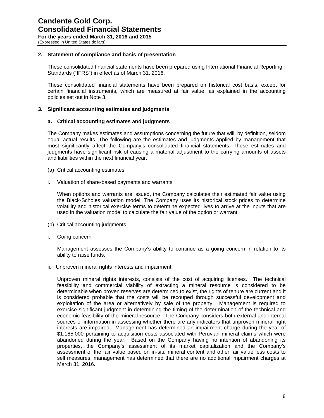# **2. Statement of compliance and basis of presentation**

These consolidated financial statements have been prepared using International Financial Reporting Standards ("IFRS") in effect as of March 31, 2016.

These consolidated financial statements have been prepared on historical cost basis, except for certain financial instruments, which are measured at fair value, as explained in the accounting policies set out in Note 3.

#### **3. Significant accounting estimates and judgments**

#### **a. Critical accounting estimates and judgments**

The Company makes estimates and assumptions concerning the future that will, by definition, seldom equal actual results. The following are the estimates and judgments applied by management that most significantly affect the Company's consolidated financial statements. These estimates and judgments have significant risk of causing a material adjustment to the carrying amounts of assets and liabilities within the next financial year.

- (a) Critical accounting estimates
- i. Valuation of share-based payments and warrants

When options and warrants are issued, the Company calculates their estimated fair value using the Black-Scholes valuation model. The Company uses its historical stock prices to determine volatility and historical exercise terms to determine expected lives to arrive at the inputs that are used in the valuation model to calculate the fair value of the option or warrant.

- (b) Critical accounting judgments
- i. Going concern

Management assesses the Company's ability to continue as a going concern in relation to its ability to raise funds.

ii. Unproven mineral rights interests and impairment

Unproven mineral rights interests, consists of the cost of acquiring licenses. The technical feasibility and commercial viability of extracting a mineral resource is considered to be determinable when proven reserves are determined to exist, the rights of tenure are current and it is considered probable that the costs will be recouped through successful development and exploitation of the area or alternatively by sale of the property. Management is required to exercise significant judgment in determining the timing of the determination of the technical and economic feasibility of the mineral resource. The Company considers both external and internal sources of information in assessing whether there are any indicators that unproven mineral right interests are impaired. Management has determined an impairment charge during the year of \$1,185,000 pertaining to acquisition costs associated with Peruvian mineral claims which were abandoned during the year. Based on the Company having no intention of abandoning its properties, the Company's assessment of its market capitalization and the Company's assessment of the fair value based on in-situ mineral content and other fair value less costs to sell measures, management has determined that there are no additional impairment charges at March 31, 2016.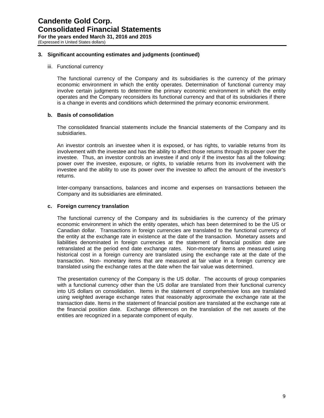# **3. Significant accounting estimates and judgments (continued)**

#### iii. Functional currency

The functional currency of the Company and its subsidiaries is the currency of the primary economic environment in which the entity operates. Determination of functional currency may involve certain judgments to determine the primary economic environment in which the entity operates and the Company reconsiders its functional currency and that of its subsidiaries if there is a change in events and conditions which determined the primary economic environment.

# **b. Basis of consolidation**

The consolidated financial statements include the financial statements of the Company and its subsidiaries.

An investor controls an investee when it is exposed, or has rights, to variable returns from its involvement with the investee and has the ability to affect those returns through its power over the investee. Thus, an investor controls an investee if and only if the investor has all the following: power over the investee, exposure, or rights, to variable returns from its involvement with the investee and the ability to use its power over the investee to affect the amount of the investor's returns.

Inter-company transactions, balances and income and expenses on transactions between the Company and its subsidiaries are eliminated.

#### **c. Foreign currency translation**

The functional currency of the Company and its subsidiaries is the currency of the primary economic environment in which the entity operates, which has been determined to be the US or Canadian dollar. Transactions in foreign currencies are translated to the functional currency of the entity at the exchange rate in existence at the date of the transaction. Monetary assets and liabilities denominated in foreign currencies at the statement of financial position date are retranslated at the period end date exchange rates. Non-monetary items are measured using historical cost in a foreign currency are translated using the exchange rate at the date of the transaction. Non- monetary items that are measured at fair value in a foreign currency are translated using the exchange rates at the date when the fair value was determined.

The presentation currency of the Company is the US dollar. The accounts of group companies with a functional currency other than the US dollar are translated from their functional currency into US dollars on consolidation. Items in the statement of comprehensive loss are translated using weighted average exchange rates that reasonably approximate the exchange rate at the transaction date. Items in the statement of financial position are translated at the exchange rate at the financial position date. Exchange differences on the translation of the net assets of the entities are recognized in a separate component of equity.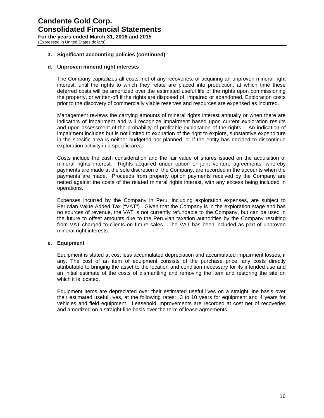# **3. Significant accounting policies (continued)**

# **d. Unproven mineral right interests**

The Company capitalizes all costs, net of any recoveries, of acquiring an unproven mineral right interest, until the rights to which they relate are placed into production, at which time these deferred costs will be amortized over the estimated useful life of the rights upon commissioning the property, or written-off if the rights are disposed of, impaired or abandoned. Exploration costs prior to the discovery of commercially viable reserves and resources are expensed as incurred.

Management reviews the carrying amounts of mineral rights interest annually or when there are indicators of impairment and will recognize impairment based upon current exploration results and upon assessment of the probability of profitable exploitation of the rights. An indication of impairment includes but is not limited to expiration of the right to explore, substantive expenditure in the specific area is neither budgeted nor planned, or if the entity has decided to discontinue exploration activity in a specific area.

Costs include the cash consideration and the fair value of shares issued on the acquisition of mineral rights interest. Rights acquired under option or joint venture agreements, whereby payments are made at the sole discretion of the Company, are recorded in the accounts when the payments are made. Proceeds from property option payments received by the Company are netted against the costs of the related mineral rights interest, with any excess being included in operations.

Expenses incurred by the Company in Peru, including exploration expenses, are subject to Peruvian Value Added Tax ("VAT"). Given that the Company is in the exploration stage and has no sources of revenue, the VAT is not currently refundable to the Company, but can be used in the future to offset amounts due to the Peruvian taxation authorities by the Company resulting from VAT charged to clients on future sales. The VAT has been included as part of unproven mineral right interests.

# **e. Equipment**

Equipment is stated at cost less accumulated depreciation and accumulated impairment losses, if any. The cost of an item of equipment consists of the purchase price, any costs directly attributable to bringing the asset to the location and condition necessary for its intended use and an initial estimate of the costs of dismantling and removing the item and restoring the site on which it is located.

Equipment items are depreciated over their estimated useful lives on a straight line basis over their estimated useful lives, at the following rates: 3 to 10 years for equipment and 4 years for vehicles and field equipment. Leasehold improvements are recorded at cost net of recoveries and amortized on a straight-line basis over the term of lease agreements.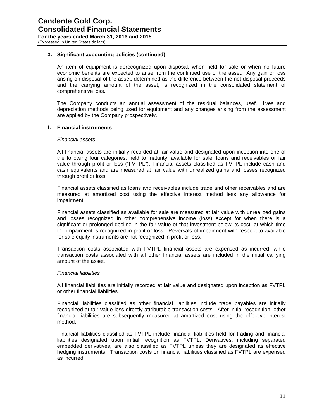# **3. Significant accounting policies (continued)**

An item of equipment is derecognized upon disposal, when held for sale or when no future economic benefits are expected to arise from the continued use of the asset. Any gain or loss arising on disposal of the asset, determined as the difference between the net disposal proceeds and the carrying amount of the asset, is recognized in the consolidated statement of comprehensive loss.

The Company conducts an annual assessment of the residual balances, useful lives and depreciation methods being used for equipment and any changes arising from the assessment are applied by the Company prospectively.

# **f. Financial instruments**

# *Financial assets*

All financial assets are initially recorded at fair value and designated upon inception into one of the following four categories: held to maturity, available for sale, loans and receivables or fair value through profit or loss ("FVTPL"). Financial assets classified as FVTPL include cash and cash equivalents and are measured at fair value with unrealized gains and losses recognized through profit or loss.

Financial assets classified as loans and receivables include trade and other receivables and are measured at amortized cost using the effective interest method less any allowance for impairment.

Financial assets classified as available for sale are measured at fair value with unrealized gains and losses recognized in other comprehensive income (loss) except for when there is a significant or prolonged decline in the fair value of that investment below its cost, at which time the impairment is recognized in profit or loss. Reversals of impairment with respect to available for sale equity instruments are not recognized in profit or loss.

Transaction costs associated with FVTPL financial assets are expensed as incurred, while transaction costs associated with all other financial assets are included in the initial carrying amount of the asset.

# *Financial liabilities*

All financial liabilities are initially recorded at fair value and designated upon inception as FVTPL or other financial liabilities.

Financial liabilities classified as other financial liabilities include trade payables are initially recognized at fair value less directly attributable transaction costs. After initial recognition, other financial liabilities are subsequently measured at amortized cost using the effective interest method.

Financial liabilities classified as FVTPL include financial liabilities held for trading and financial liabilities designated upon initial recognition as FVTPL. Derivatives, including separated embedded derivatives, are also classified as FVTPL unless they are designated as effective hedging instruments. Transaction costs on financial liabilities classified as FVTPL are expensed as incurred.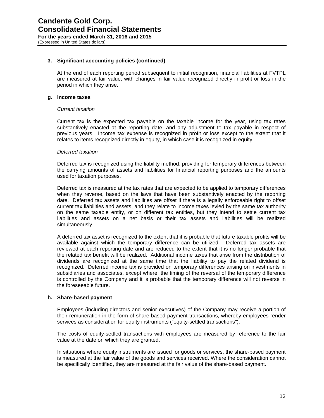#### **3. Significant accounting policies (continued)**

At the end of each reporting period subsequent to initial recognition, financial liabilities at FVTPL are measured at fair value, with changes in fair value recognized directly in profit or loss in the period in which they arise.

#### **g. Income taxes**

#### *Current taxation*

Current tax is the expected tax payable on the taxable income for the year, using tax rates substantively enacted at the reporting date, and any adjustment to tax payable in respect of previous years. Income tax expense is recognized in profit or loss except to the extent that it relates to items recognized directly in equity, in which case it is recognized in equity.

#### *Deferred taxation*

Deferred tax is recognized using the liability method, providing for temporary differences between the carrying amounts of assets and liabilities for financial reporting purposes and the amounts used for taxation purposes.

Deferred tax is measured at the tax rates that are expected to be applied to temporary differences when they reverse, based on the laws that have been substantively enacted by the reporting date. Deferred tax assets and liabilities are offset if there is a legally enforceable right to offset current tax liabilities and assets, and they relate to income taxes levied by the same tax authority on the same taxable entity, or on different tax entities, but they intend to settle current tax liabilities and assets on a net basis or their tax assets and liabilities will be realized simultaneously.

A deferred tax asset is recognized to the extent that it is probable that future taxable profits will be available against which the temporary difference can be utilized. Deferred tax assets are reviewed at each reporting date and are reduced to the extent that it is no longer probable that the related tax benefit will be realized. Additional income taxes that arise from the distribution of dividends are recognized at the same time that the liability to pay the related dividend is recognized. Deferred income tax is provided on temporary differences arising on investments in subsidiaries and associates, except where, the timing of the reversal of the temporary difference is controlled by the Company and it is probable that the temporary difference will not reverse in the foreseeable future.

#### **h. Share-based payment**

Employees (including directors and senior executives) of the Company may receive a portion of their remuneration in the form of share-based payment transactions, whereby employees render services as consideration for equity instruments ("equity-settled transactions").

The costs of equity-settled transactions with employees are measured by reference to the fair value at the date on which they are granted.

In situations where equity instruments are issued for goods or services, the share-based payment is measured at the fair value of the goods and services received. Where the consideration cannot be specifically identified, they are measured at the fair value of the share-based payment.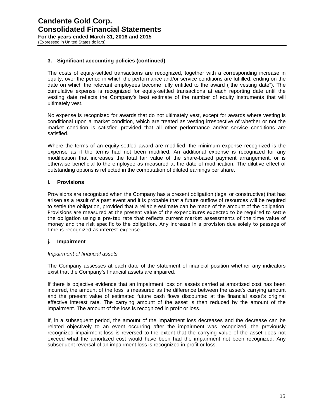# **3. Significant accounting policies (continued)**

The costs of equity-settled transactions are recognized, together with a corresponding increase in equity, over the period in which the performance and/or service conditions are fulfilled, ending on the date on which the relevant employees become fully entitled to the award ("the vesting date"). The cumulative expense is recognized for equity-settled transactions at each reporting date until the vesting date reflects the Company's best estimate of the number of equity instruments that will ultimately vest.

No expense is recognized for awards that do not ultimately vest, except for awards where vesting is conditional upon a market condition, which are treated as vesting irrespective of whether or not the market condition is satisfied provided that all other performance and/or service conditions are satisfied.

Where the terms of an equity-settled award are modified, the minimum expense recognized is the expense as if the terms had not been modified. An additional expense is recognized for any modification that increases the total fair value of the share-based payment arrangement, or is otherwise beneficial to the employee as measured at the date of modification. The dilutive effect of outstanding options is reflected in the computation of diluted earnings per share.

# **i. Provisions**

Provisions are recognized when the Company has a present obligation (legal or constructive) that has arisen as a result of a past event and it is probable that a future outflow of resources will be required to settle the obligation, provided that a reliable estimate can be made of the amount of the obligation. Provisions are measured at the present value of the expenditures expected to be required to settle the obligation using a pre-tax rate that reflects current market assessments of the time value of money and the risk specific to the obligation. Any increase in a provision due solely to passage of time is recognized as interest expense.

# **j. Impairment**

# *Impairment of financial assets*

The Company assesses at each date of the statement of financial position whether any indicators exist that the Company's financial assets are impaired.

If there is objective evidence that an impairment loss on assets carried at amortized cost has been incurred, the amount of the loss is measured as the difference between the asset's carrying amount and the present value of estimated future cash flows discounted at the financial asset's original effective interest rate. The carrying amount of the asset is then reduced by the amount of the impairment. The amount of the loss is recognized in profit or loss.

If, in a subsequent period, the amount of the impairment loss decreases and the decrease can be related objectively to an event occurring after the impairment was recognized, the previously recognized impairment loss is reversed to the extent that the carrying value of the asset does not exceed what the amortized cost would have been had the impairment not been recognized. Any subsequent reversal of an impairment loss is recognized in profit or loss.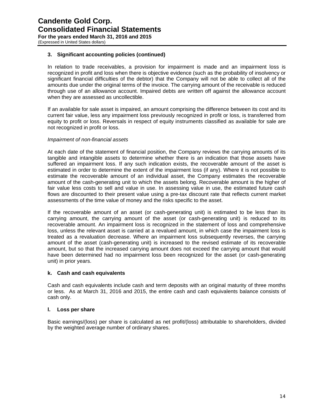# **3. Significant accounting policies (continued)**

In relation to trade receivables, a provision for impairment is made and an impairment loss is recognized in profit and loss when there is objective evidence (such as the probability of insolvency or significant financial difficulties of the debtor) that the Company will not be able to collect all of the amounts due under the original terms of the invoice. The carrying amount of the receivable is reduced through use of an allowance account. Impaired debts are written off against the allowance account when they are assessed as uncollectible.

If an available for sale asset is impaired, an amount comprising the difference between its cost and its current fair value, less any impairment loss previously recognized in profit or loss, is transferred from equity to profit or loss. Reversals in respect of equity instruments classified as available for sale are not recognized in profit or loss.

#### *Impairment of non-financial assets*

At each date of the statement of financial position, the Company reviews the carrying amounts of its tangible and intangible assets to determine whether there is an indication that those assets have suffered an impairment loss. If any such indication exists, the recoverable amount of the asset is estimated in order to determine the extent of the impairment loss (if any). Where it is not possible to estimate the recoverable amount of an individual asset, the Company estimates the recoverable amount of the cash-generating unit to which the assets belong. Recoverable amount is the higher of fair value less costs to sell and value in use. In assessing value in use, the estimated future cash flows are discounted to their present value using a pre-tax discount rate that reflects current market assessments of the time value of money and the risks specific to the asset.

If the recoverable amount of an asset (or cash-generating unit) is estimated to be less than its carrying amount, the carrying amount of the asset (or cash-generating unit) is reduced to its recoverable amount. An impairment loss is recognized in the statement of loss and comprehensive loss, unless the relevant asset is carried at a revalued amount, in which case the impairment loss is treated as a revaluation decrease. Where an impairment loss subsequently reverses, the carrying amount of the asset (cash-generating unit) is increased to the revised estimate of its recoverable amount, but so that the increased carrying amount does not exceed the carrying amount that would have been determined had no impairment loss been recognized for the asset (or cash-generating unit) in prior years.

#### **k. Cash and cash equivalents**

Cash and cash equivalents include cash and term deposits with an original maturity of three months or less. As at March 31, 2016 and 2015, the entire cash and cash equivalents balance consists of cash only.

#### **l. Loss per share**

Basic earnings/(loss) per share is calculated as net profit/(loss) attributable to shareholders, divided by the weighted average number of ordinary shares.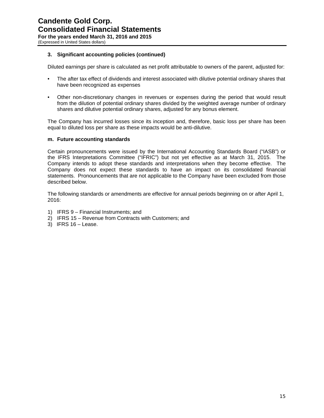#### **3. Significant accounting policies (continued)**

Diluted earnings per share is calculated as net profit attributable to owners of the parent, adjusted for:

- The after tax effect of dividends and interest associated with dilutive potential ordinary shares that have been recognized as expenses
- Other non-discretionary changes in revenues or expenses during the period that would result from the dilution of potential ordinary shares divided by the weighted average number of ordinary shares and dilutive potential ordinary shares, adjusted for any bonus element.

The Company has incurred losses since its inception and, therefore, basic loss per share has been equal to diluted loss per share as these impacts would be anti-dilutive.

#### **m. Future accounting standards**

Certain pronouncements were issued by the International Accounting Standards Board ("IASB") or the IFRS Interpretations Committee ("IFRIC") but not yet effective as at March 31, 2015. The Company intends to adopt these standards and interpretations when they become effective. The Company does not expect these standards to have an impact on its consolidated financial statements. Pronouncements that are not applicable to the Company have been excluded from those described below.

The following standards or amendments are effective for annual periods beginning on or after April 1, 2016:

- 1) IFRS 9 Financial Instruments; and
- 2) IFRS 15 Revenue from Contracts with Customers; and
- 3) IFRS 16 Lease.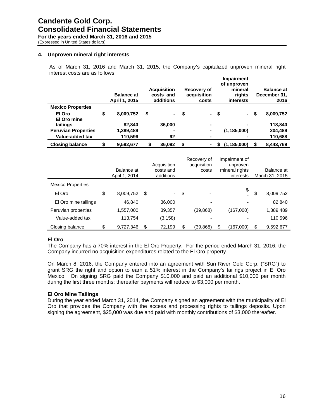# **Candente Gold Corp. Consolidated Financial Statements For the years ended March 31, 2016 and 2015**

(Expressed in United States dollars)

# **4. Unproven mineral right interests**

As of March 31, 2016 and March 31, 2015, the Company's capitalized unproven mineral right interest costs are as follows: **Impairment** 

|                            | <b>Balance at</b><br><b>April 1, 2015</b> |    | <b>Acquisition</b><br>costs and<br>additions | Recovery of<br>acquisition<br>costs |      | <b>Impairment</b><br>of unproven<br>mineral<br>rights<br><b>interests</b> |    | <b>Balance at</b><br>December 31,<br>2016 |
|----------------------------|-------------------------------------------|----|----------------------------------------------|-------------------------------------|------|---------------------------------------------------------------------------|----|-------------------------------------------|
| <b>Mexico Properties</b>   |                                           |    |                                              |                                     |      |                                                                           |    |                                           |
| El Oro<br>El Oro mine      | \$<br>8,009,752                           | \$ | $\sim$                                       | \$                                  | - \$ | $\sim$ 10 $\pm$                                                           | \$ | 8,009,752                                 |
| tailings                   | 82,840                                    |    | 36,000                                       | $\blacksquare$                      |      |                                                                           |    | 118,840                                   |
| <b>Peruvian Properties</b> | 1,389,489                                 |    | -                                            | ۰                                   |      | (1, 185, 000)                                                             |    | 204,489                                   |
| Value-added tax            | 110,596                                   |    | 92                                           | $\blacksquare$                      |      |                                                                           |    | 110,688                                   |
| <b>Closing balance</b>     | \$<br>9,592,677                           | S  | 36.092                                       | \$<br>$\blacksquare$                |      | (1, 185, 000)                                                             | S  | 8.443.769                                 |

|                          | Balance at<br>April 1, 2014 | Acquisition<br>costs and<br>additions | Recovery of<br>acquisition<br>costs |   | Impairment of<br>unproven<br>mineral rights<br>interests | Balance at<br>March 31, 2015 |
|--------------------------|-----------------------------|---------------------------------------|-------------------------------------|---|----------------------------------------------------------|------------------------------|
| <b>Mexico Properties</b> |                             |                                       |                                     |   |                                                          |                              |
| El Oro                   | \$<br>8,009,752             | \$<br>$\sim$                          | \$                                  |   | \$                                                       | 8,009,752                    |
| El Oro mine tailings     | 46,840                      | 36,000                                | -                                   |   |                                                          | 82,840                       |
| Peruvian properties      | 1,557,000                   | 39,357                                | (39, 868)                           |   | (167,000)                                                | 1,389,489                    |
| Value-added tax          | 113,754                     | (3, 158)                              |                                     |   |                                                          | 110,596                      |
| Closing balance          | \$<br>9,727,346             | \$<br>72.199                          | \$<br>(39,868)                      | S | (167.000)                                                | \$<br>9,592,677              |

# **El Oro**

The Company has a 70% interest in the El Oro Property. For the period ended March 31, 2016, the Company incurred no acquisition expenditures related to the El Oro property.

On March 8, 2016, the Company entered into an agreement with Sun River Gold Corp. ("SRG") to grant SRG the right and option to earn a 51% interest in the Company's tailings project in El Oro Mexico. On signing SRG paid the Company \$10,000 and paid an additional \$10,000 per month during the first three months; thereafter payments will reduce to \$3,000 per month.

# **El Oro Mine Tailings**

During the year ended March 31, 2014, the Company signed an agreement with the municipality of El Oro that provides the Company with the access and processing rights to tailings deposits. Upon signing the agreement, \$25,000 was due and paid with monthly contributions of \$3,000 thereafter.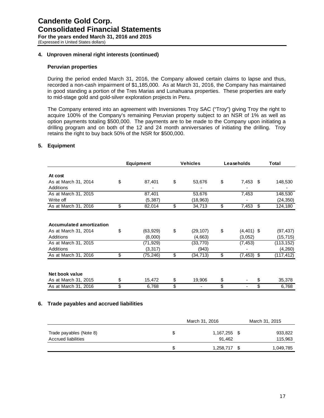# **4. Unproven mineral right interests (continued)**

#### **Peruvian properties**

During the period ended March 31, 2016, the Company allowed certain claims to lapse and thus, recorded a non-cash impairment of \$1,185,000. As at March 31, 2016, the Company has maintained in good standing a portion of the Tres Marias and Lunahuana properties. These properties are early to mid-stage gold and gold-silver exploration projects in Peru.

The Company entered into an agreement with Inversiones Troy SAC ("Troy") giving Troy the right to acquire 100% of the Company's remaining Peruvian property subject to an NSR of 1% as well as option payments totaling \$500,000. The payments are to be made to the Company upon initiating a drilling program and on both of the 12 and 24 month anniversaries of initiating the drilling. Troy retains the right to buy back 50% of the NSR for \$500,000.

#### **5. Equipment**

|                                 | Equipment |           | <b>Vehicles</b> | Leaseholds          | Total |            |
|---------------------------------|-----------|-----------|-----------------|---------------------|-------|------------|
| At cost                         |           |           |                 |                     |       |            |
| As at March 31, 2014            | \$        | 87,401    | \$<br>53,676    | \$<br>7,453         | - \$  | 148,530    |
| Additions                       |           |           |                 |                     |       |            |
| As at March 31, 2015            |           | 87,401    | 53,676          | 7,453               |       | 148,530    |
| Write off                       |           | (5, 387)  | (18, 963)       |                     |       | (24, 350)  |
| As at March 31, 2016            | \$        | 82,014    | \$<br>34,713    | \$<br>7,453         | \$    | 124,180    |
|                                 |           |           |                 |                     |       |            |
| <b>Accumulated amortization</b> |           |           |                 |                     |       |            |
| As at March 31, 2014            | \$        | (63, 929) | \$<br>(29, 107) | \$<br>$(4,401)$ \$  |       | (97, 437)  |
| Additions                       |           | (8,000)   | (4,663)         | (3,052)             |       | (15, 715)  |
| As at March 31, 2015            |           | (71, 929) | (33,770)        | (7, 453)            |       | (113, 152) |
| Additions                       |           | (3, 317)  | (943)           |                     |       | (4,260)    |
| As at March 31, 2016            | \$        | (75,246)  | \$<br>(34,713)  | \$<br>$(7, 453)$ \$ |       | (117,412)  |
|                                 |           |           |                 |                     |       |            |
| Net book value                  |           |           |                 |                     |       |            |
| As at March 31, 2015            | \$        | 15,472    | \$<br>19,906    | \$                  | S     | 35,378     |
| As at March 31, 2016            | \$        | 6,768     | \$              | \$                  | \$    | 6,768      |

#### **6. Trade payables and accrued liabilities**

|                                                       |   | March 31, 2015         |  |                    |
|-------------------------------------------------------|---|------------------------|--|--------------------|
| Trade payables (Note 8)<br><b>Accrued liabilities</b> | S | 1,167,255 \$<br>91.462 |  | 933,822<br>115,963 |
|                                                       | S | 1,258,717              |  | 1,049,785          |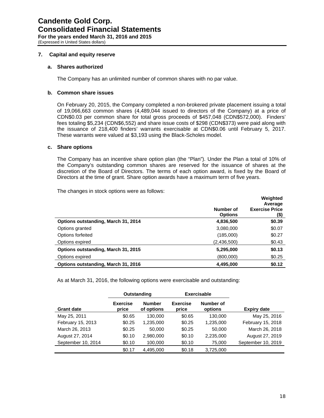# **Candente Gold Corp. Consolidated Financial Statements For the years ended March 31, 2016 and 2015**

(Expressed in United States dollars)

# **7. Capital and equity reserve**

#### **a. Shares authorized**

The Company has an unlimited number of common shares with no par value.

#### **b. Common share issues**

On February 20, 2015, the Company completed a non-brokered private placement issuing a total of 19,066,663 common shares (4,489,044 issued to directors of the Company) at a price of CDN\$0.03 per common share for total gross proceeds of \$457,048 (CDN\$572,000). Finders' fees totaling \$5,234 (CDN\$6,552) and share issue costs of \$298 (CDN\$373) were paid along with the issuance of 218,400 finders' warrants exercisable at CDN\$0.06 until February 5, 2017. These warrants were valued at \$3,193 using the Black-Scholes model.

#### **c. Share options**

The Company has an incentive share option plan (the "Plan"). Under the Plan a total of 10% of the Company's outstanding common shares are reserved for the issuance of shares at the discretion of the Board of Directors. The terms of each option award, is fixed by the Board of Directors at the time of grant. Share option awards have a maximum term of five years.

The changes in stock options were as follows:

|                                     |                             | Weighted<br>Average           |
|-------------------------------------|-----------------------------|-------------------------------|
|                                     | Number of<br><b>Options</b> | <b>Exercise Price</b><br>(\$) |
| Options outstanding, March 31, 2014 | 4,836,500                   | \$0.39                        |
| Options granted                     | 3,080,000                   | \$0.07                        |
| Options forfeited                   | (185,000)                   | \$0.27                        |
| Options expired                     | (2,436,500)                 | \$0.43                        |
| Options outstanding, March 31, 2015 | 5,295,000                   | \$0.13                        |
| Options expired                     | (800,000)                   | \$0.25                        |
| Options outstanding, March 31, 2016 | 4,495,000                   | \$0.12                        |

As at March 31, 2016, the following options were exercisable and outstanding:

|                    |                          | Outstanding                 | <b>Exercisable</b>       |                      |                    |
|--------------------|--------------------------|-----------------------------|--------------------------|----------------------|--------------------|
| <b>Grant date</b>  | <b>Exercise</b><br>price | <b>Number</b><br>of options | <b>Exercise</b><br>price | Number of<br>options | Expiry date        |
| May 25, 2011       | \$0.65                   | 130,000                     | \$0.65                   | 130,000              | May 25, 2016       |
| February 15, 2013  | \$0.25                   | 1,235,000                   | \$0.25                   | 1,235,000            | February 15, 2018  |
| March 26, 2013     | \$0.25                   | 50,000                      | \$0.25                   | 50,000               | March 26, 2018     |
| August 27, 2014    | \$0.10                   | 2,980,000                   | \$0.10                   | 2,235,000            | August 27, 2019    |
| September 10, 2014 | \$0.10                   | 100,000                     | \$0.10                   | 75,000               | September 10, 2019 |
|                    | \$0.17                   | 4,495,000                   | \$0.18                   | 3,725,000            |                    |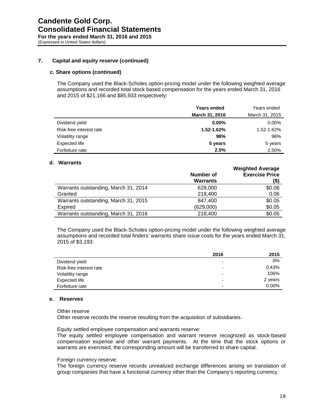# **7. Capital and equity reserve (continued)**

#### **c. Share options (continued)**

The Company used the Black-Scholes option-pricing model under the following weighted average assumptions and recorded total stock based compensation for the years ended March 31, 2016 and 2015 of \$21,166 and \$85,933 respectively:

|                         | <b>Years ended</b> | Years ended    |
|-------------------------|--------------------|----------------|
|                         | March 31, 2016     | March 31, 2015 |
| Dividend yield          | $0.00\%$           | $0.00\%$       |
| Risk-free interest rate | 1.52-1.62%         | 1.52-1.62%     |
| Volatility range        | 98%                | 98%            |
| Expected life           | 5 years            | 5 years        |
| Forfeiture rate         | 2.5%               | 2.50%          |

# **d. Warrants**

|                                      | Number of<br>Warrants | <b>Weighted Average</b><br><b>Exercise Price</b><br>(\$) |
|--------------------------------------|-----------------------|----------------------------------------------------------|
| Warrants outstanding, March 31, 2014 | 629,000               | \$0.06                                                   |
| Granted                              | 218,400               | 0.06                                                     |
| Warrants outstanding, March 31, 2015 | 847.400               | \$0.05                                                   |
| Expired                              | (629,000)             | \$0.05                                                   |
| Warrants outstanding, March 31, 2016 | 218,400               | \$0.05                                                   |

The Company used the Black-Scholes option-pricing model under the following weighted average assumptions and recorded total finders' warrants share issue costs for the years ended March 31, 2015 of \$3,193:

|                         | 2016 | 2015     |
|-------------------------|------|----------|
| Dividend yield          | -    | 0%       |
| Risk-free interest rate | -    | 0.43%    |
| Volatility range        | -    | 106%     |
| Expected life           | -    | 2 years  |
| Forfeiture rate         | -    | $0.00\%$ |

#### **e. Reserves**

Other reserve

Other reserve records the reserve resulting from the acquisition of subsidiaries.

Equity settled employee compensation and warrants reserve:

The equity settled employee compensation and warrant reserve recognized as stock-based compensation expense and other warrant payments. At the time that the stock options or warrants are exercised, the corresponding amount will be transferred to share capital.

#### Foreign currency reserve:

The foreign currency reserve records unrealized exchange differences arising on translation of group companies that have a functional currency other than the Company's reporting currency.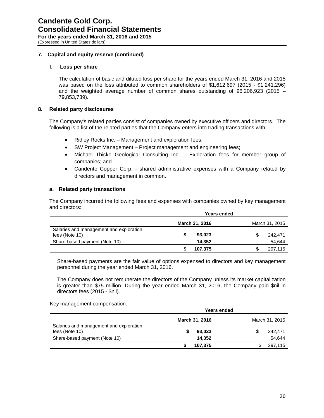# **7. Capital and equity reserve (continued)**

#### **f. Loss per share**

The calculation of basic and diluted loss per share for the years ended March 31, 2016 and 2015 was based on the loss attributed to common shareholders of \$1,612,697 (2015 - \$1,241,296) and the weighted average number of common shares outstanding of 96,206,923 (2015 – 79,853,739).

# **8. Related party disclosures**

The Company's related parties consist of companies owned by executive officers and directors. The following is a list of the related parties that the Company enters into trading transactions with:

- Ridley Rocks Inc. Management and exploration fees;
- SW Project Management Project management and engineering fees;
- Michael Thicke Geological Consulting Inc. Exploration fees for member group of companies; and
- Candente Copper Corp. shared administrative expenses with a Company related by directors and management in common.

#### **a. Related party transactions**

The Company incurred the following fees and expenses with companies owned by key management and directors:

|                                                           | Years ended |                |  |                |
|-----------------------------------------------------------|-------------|----------------|--|----------------|
|                                                           |             | March 31, 2016 |  | March 31, 2015 |
| Salaries and management and exploration<br>fees (Note 10) |             | 93,023         |  | 242.471        |
| Share-based payment (Note 10)                             |             | 14.352         |  | 54,644         |
|                                                           | э           | 107,375        |  | 297,115        |

Share-based payments are the fair value of options expensed to directors and key management personnel during the year ended March 31, 2016.

The Company does not remunerate the directors of the Company unless its market capitalization is greater than \$75 million. During the year ended March 31, 2016, the Company paid \$nil in directors fees (2015 - \$nil).

Key management compensation:

|                                                           | <b>Years ended</b> |                |                |  |
|-----------------------------------------------------------|--------------------|----------------|----------------|--|
|                                                           |                    | March 31, 2016 | March 31, 2015 |  |
| Salaries and management and exploration<br>fees (Note 10) |                    | 93.023         | 242.471        |  |
| Share-based payment (Note 10)                             |                    | 14.352         | 54,644         |  |
|                                                           |                    | 107,375        | 297.115        |  |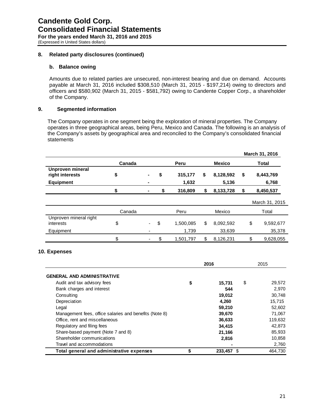#### **8. Related party disclosures (continued)**

# **b. Balance owing**

Amounts due to related parties are unsecured, non-interest bearing and due on demand. Accounts payable at March 31, 2016 included \$308,510 (March 31, 2015 - \$197,214) owing to directors and officers and \$580,902 (March 31, 2015 - \$581,792) owing to Candente Copper Corp., a shareholder of the Company.

# **9. Segmented information**

The Company operates in one segment being the exploration of mineral properties. The Company operates in three geographical areas, being Peru, Mexico and Canada. The following is an analysis of the Company's assets by geographical area and reconciled to the Company's consolidated financial statements

|                                            |        |                |    |           |                 |              | March 31, 2016 |
|--------------------------------------------|--------|----------------|----|-----------|-----------------|--------------|----------------|
| Canada<br><b>Mexico</b><br>Peru            |        |                |    |           |                 | <b>Total</b> |                |
| <b>Unproven mineral</b><br>right interests | \$     | $\blacksquare$ | \$ | 315,177   | \$<br>8,128,592 | \$           | 8,443,769      |
| <b>Equipment</b>                           |        |                |    | 1,632     | 5,136           | 6,768        |                |
|                                            |        |                | S  | 316,809   | \$<br>8,133,728 | \$           | 8,450,537      |
|                                            |        |                |    |           |                 |              | March 31, 2015 |
|                                            | Canada |                |    | Peru      | Mexico          |              | Total          |
| Unproven mineral right<br>interests        | \$     |                | \$ | 1,500,085 | \$<br>8,092,592 | \$           | 9,592,677      |
| Equipment                                  |        | ۰              |    | 1,739     | 33,639          |              | 35,378         |
|                                            | \$     |                | \$ | 1,501,797 | \$<br>8,126,231 | \$           | 9,628,055      |

#### **10. Expenses**

|                                                        | 2016                | 2015 |         |
|--------------------------------------------------------|---------------------|------|---------|
| <b>GENERAL AND ADMINISTRATIVE</b>                      |                     |      |         |
| Audit and tax advisory fees                            | \$<br>15.731        | \$   | 29,572  |
| Bank charges and interest                              | 544                 |      | 2,970   |
| Consulting                                             | 19,012              |      | 30.748  |
| Depreciation                                           | 4.260               |      | 15,715  |
| Legal                                                  | 59,210              |      | 52,602  |
| Management fees, office salaries and benefits (Note 8) | 39,670              |      | 71,067  |
| Office, rent and miscellaneous                         | 36,633              |      | 119,632 |
| Regulatory and filing fees                             | 34,415              |      | 42.873  |
| Share-based payment (Note 7 and 8)                     | 21,166              |      | 85,933  |
| Shareholder communications                             | 2,816               |      | 10,858  |
| Travel and accommodations                              |                     |      | 2,760   |
| Total general and administrative expenses              | \$<br>233,457<br>\$ |      | 464.730 |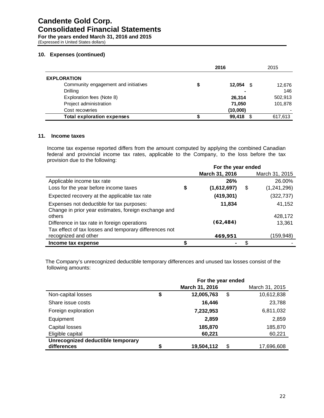# **Candente Gold Corp. Consolidated Financial Statements**

**For the years ended March 31, 2016 and 2015**

(Expressed in United States dollars)

# **10. Expenses (continued)**

|                                      | 2016              | 2015    |
|--------------------------------------|-------------------|---------|
| <b>EXPLORATION</b>                   |                   |         |
| Community engagement and initiatives | \$<br>$12,054$ \$ | 12,676  |
| <b>Drilling</b>                      |                   | 146     |
| Exploration fees (Note 8)            | 26,314            | 502,913 |
| Project administration               | 71,050            | 101,878 |
| Cost recoveries                      | (10,000)          |         |
| <b>Total exploration expenses</b>    | 99,418            | 617.613 |

# **11. Income taxes**

Income tax expense reported differs from the amount computed by applying the combined Canadian federal and provincial income tax rates, applicable to the Company, to the loss before the tax provision due to the following:

|                                                                                                   | For the year ended |    |                |  |
|---------------------------------------------------------------------------------------------------|--------------------|----|----------------|--|
|                                                                                                   | March 31, 2016     |    | March 31, 2015 |  |
| Applicable income tax rate                                                                        | 26%                |    | 26.00%         |  |
| Loss for the year before income taxes                                                             | \$<br>(1,612,697)  | \$ | (1,241,296)    |  |
| Expected recovery at the applicable tax rate                                                      | (419, 301)         |    | (322, 737)     |  |
| Expenses not deductible for tax purposes:<br>Change in prior year estimates, foreign exchange and | 11,834             |    | 41,152         |  |
| others                                                                                            |                    |    | 428,172        |  |
| Difference in tax rate in foreign operations                                                      | (62, 484)          |    | 13.361         |  |
| Tax effect of tax losses and temporary differences not                                            |                    |    |                |  |
| recognized and other                                                                              | 469,951            |    | (159,948)      |  |
| Income tax expense                                                                                |                    |    |                |  |

 The Company's unrecognized deductible temporary differences and unused tax losses consist of the following amounts:

|                                   | For the year ended |                |    |                |  |
|-----------------------------------|--------------------|----------------|----|----------------|--|
|                                   |                    | March 31, 2016 |    | March 31, 2015 |  |
| Non-capital losses                | \$                 | 12,005,763     | \$ | 10,612,838     |  |
| Share issue costs                 |                    | 16,446         |    | 23,788         |  |
| Foreign exploration               |                    | 7,232,953      |    | 6,811,032      |  |
| Equipment                         |                    | 2,859          |    | 2,859          |  |
| Capital losses                    |                    | 185,870        |    | 185,870        |  |
| Eligible capital                  |                    | 60,221         |    | 60,221         |  |
| Unrecognized deductible temporary |                    |                |    |                |  |
| differences                       |                    | 19,504,112     | \$ | 17,696,608     |  |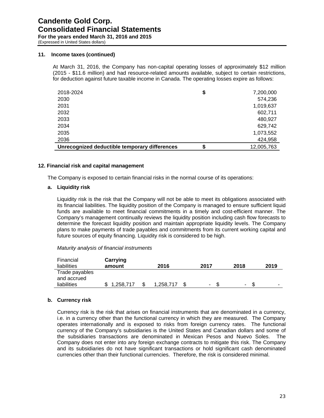#### **11. Income taxes (continued)**

At March 31, 2016, the Company has non-capital operating losses of approximately \$12 million (2015 - \$11.6 million) and had resource-related amounts available, subject to certain restrictions, for deduction against future taxable income in Canada. The operating losses expire as follows:

| 2018-2024                                     | \$     | 7,200,000  |
|-----------------------------------------------|--------|------------|
| 2030                                          |        | 574,236    |
| 2031                                          |        | 1,019,637  |
| 2032                                          |        | 602,711    |
| 2033                                          |        | 480.927    |
| 2034                                          |        | 629,742    |
| 2035                                          |        | 1,073,552  |
| 2036                                          |        | 424,958    |
| Unrecognized deductible temporary differences | œ<br>æ | 12,005,763 |

#### **12. Financial risk and capital management**

The Company is exposed to certain financial risks in the normal course of its operations:

#### **a. Liquidity risk**

Liquidity risk is the risk that the Company will not be able to meet its obligations associated with its financial liabilities. The liquidity position of the Company is managed to ensure sufficient liquid funds are available to meet financial commitments in a timely and cost-efficient manner. The Company's management continually reviews the liquidity position including cash flow forecasts to determine the forecast liquidity position and maintain appropriate liquidity levels. The Company plans to make payments of trade payables and commitments from its current working capital and future sources of equity financing. Liquidity risk is considered to be high.

#### *Maturity analysis of financial instruments*

| Financial                     | Carrying  |           |      |                |      |
|-------------------------------|-----------|-----------|------|----------------|------|
| liabilities                   | amount    | 2016      | 2017 | 2018           | 2019 |
| Trade payables<br>and accrued |           |           |      |                |      |
| liabilities                   | 1.258.717 | 1.258.717 | ٠    | $\blacksquare$ | -    |

# **b. Currency risk**

Currency risk is the risk that arises on financial instruments that are denominated in a currency, i.e. in a currency other than the functional currency in which they are measured. The Company operates internationally and is exposed to risks from foreign currency rates. The functional currency of the Company's subsidiaries is the United States and Canadian dollars and some of the subsidiaries transactions are denominated in Mexican Pesos and Nuevo Soles. The Company does not enter into any foreign exchange contracts to mitigate this risk. The Company and its subsidiaries do not have significant transactions or hold significant cash denominated currencies other than their functional currencies. Therefore, the risk is considered minimal.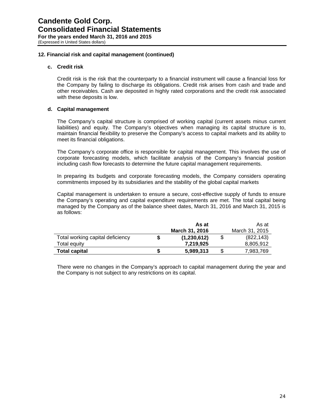# **12. Financial risk and capital management (continued)**

#### **c. Credit risk**

Credit risk is the risk that the counterparty to a financial instrument will cause a financial loss for the Company by failing to discharge its obligations. Credit risk arises from cash and trade and other receivables. Cash are deposited in highly rated corporations and the credit risk associated with these deposits is low.

#### **d. Capital management**

The Company's capital structure is comprised of working capital (current assets minus current liabilities) and equity. The Company's objectives when managing its capital structure is to, maintain financial flexibility to preserve the Company's access to capital markets and its ability to meet its financial obligations.

The Company's corporate office is responsible for capital management. This involves the use of corporate forecasting models, which facilitate analysis of the Company's financial position including cash flow forecasts to determine the future capital management requirements.

In preparing its budgets and corporate forecasting models, the Company considers operating commitments imposed by its subsidiaries and the stability of the global capital markets

Capital management is undertaken to ensure a secure, cost-effective supply of funds to ensure the Company's operating and capital expenditure requirements are met. The total capital being managed by the Company as of the balance sheet dates, March 31, 2016 and March 31, 2015 is as follows:

|                                  | As at          |   | As at          |
|----------------------------------|----------------|---|----------------|
|                                  | March 31, 2016 |   | March 31, 2015 |
| Total working capital deficiency | (1,230,612)    | S | (822, 143)     |
| Total equity                     | 7,219,925      |   | 8,805,912      |
| <b>Total capital</b>             | 5,989,313      |   | 7,983,769      |

There were no changes in the Company's approach to capital management during the year and the Company is not subject to any restrictions on its capital.